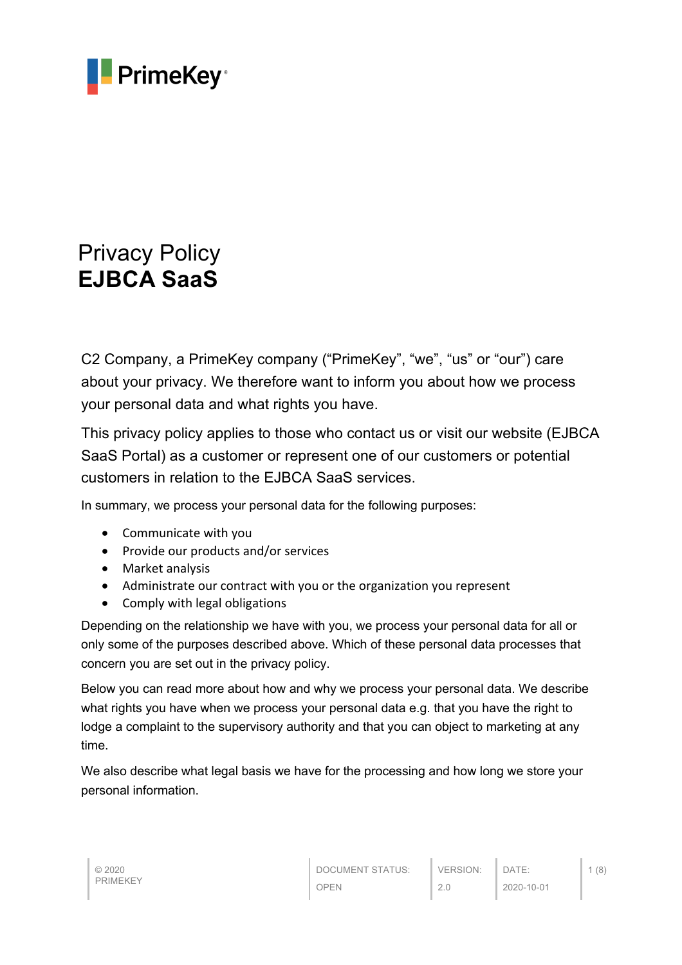

# Privacy Policy **EJBCA SaaS**

C2 Company, a PrimeKey company ("PrimeKey", "we", "us" or "our") care about your privacy. We therefore want to inform you about how we process your personal data and what rights you have.

This privacy policy applies to those who contact us or visit our website (EJBCA SaaS Portal) as a customer or represent one of our customers or potential customers in relation to the EJBCA SaaS services.

In summary, we process your personal data for the following purposes:

- Communicate with you
- Provide our products and/or services
- Market analysis
- Administrate our contract with you or the organization you represent
- Comply with legal obligations

Depending on the relationship we have with you, we process your personal data for all or only some of the purposes described above. Which of these personal data processes that concern you are set out in the privacy policy.

Below you can read more about how and why we process your personal data. We describe what rights you have when we process your personal data e.g. that you have the right to lodge a complaint to the supervisory authority and that you can object to marketing at any time.

We also describe what legal basis we have for the processing and how long we store your personal information.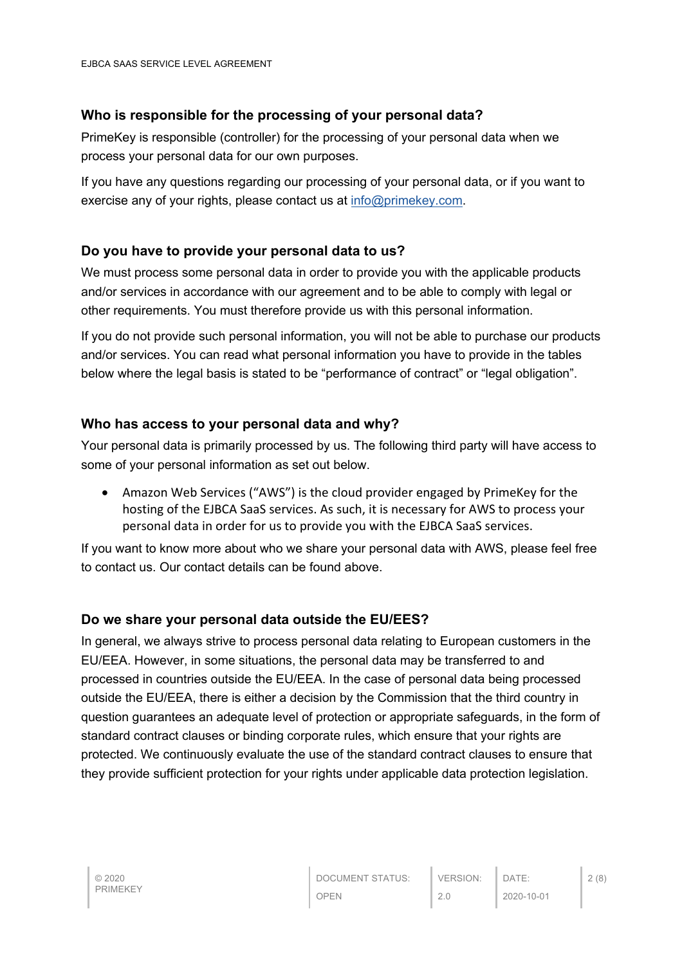# **Who is responsible for the processing of your personal data?**

PrimeKey is responsible (controller) for the processing of your personal data when we process your personal data for our own purposes.

If you have any questions regarding our processing of your personal data, or if you want to exercise any of your rights, please contact us at info@primekey.com.

# **Do you have to provide your personal data to us?**

We must process some personal data in order to provide you with the applicable products and/or services in accordance with our agreement and to be able to comply with legal or other requirements. You must therefore provide us with this personal information.

If you do not provide such personal information, you will not be able to purchase our products and/or services. You can read what personal information you have to provide in the tables below where the legal basis is stated to be "performance of contract" or "legal obligation".

#### **Who has access to your personal data and why?**

Your personal data is primarily processed by us. The following third party will have access to some of your personal information as set out below.

• Amazon Web Services ("AWS") is the cloud provider engaged by PrimeKey for the hosting of the EJBCA SaaS services. As such, it is necessary for AWS to process your personal data in order for us to provide you with the EJBCA SaaS services.

If you want to know more about who we share your personal data with AWS, please feel free to contact us. Our contact details can be found above.

#### **Do we share your personal data outside the EU/EES?**

In general, we always strive to process personal data relating to European customers in the EU/EEA. However, in some situations, the personal data may be transferred to and processed in countries outside the EU/EEA. In the case of personal data being processed outside the EU/EEA, there is either a decision by the Commission that the third country in question guarantees an adequate level of protection or appropriate safeguards, in the form of standard contract clauses or binding corporate rules, which ensure that your rights are protected. We continuously evaluate the use of the standard contract clauses to ensure that they provide sufficient protection for your rights under applicable data protection legislation.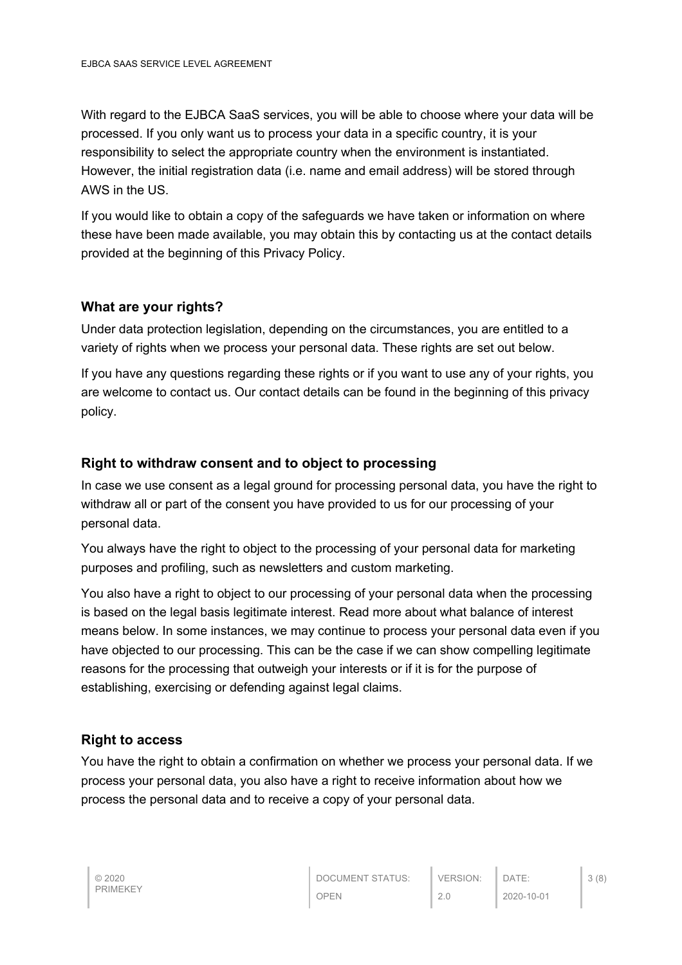With regard to the EJBCA SaaS services, you will be able to choose where your data will be processed. If you only want us to process your data in a specific country, it is your responsibility to select the appropriate country when the environment is instantiated. However, the initial registration data (i.e. name and email address) will be stored through AWS in the US.

If you would like to obtain a copy of the safeguards we have taken or information on where these have been made available, you may obtain this by contacting us at the contact details provided at the beginning of this Privacy Policy.

#### **What are your rights?**

Under data protection legislation, depending on the circumstances, you are entitled to a variety of rights when we process your personal data. These rights are set out below.

If you have any questions regarding these rights or if you want to use any of your rights, you are welcome to contact us. Our contact details can be found in the beginning of this privacy policy.

#### **Right to withdraw consent and to object to processing**

In case we use consent as a legal ground for processing personal data, you have the right to withdraw all or part of the consent you have provided to us for our processing of your personal data.

You always have the right to object to the processing of your personal data for marketing purposes and profiling, such as newsletters and custom marketing.

You also have a right to object to our processing of your personal data when the processing is based on the legal basis legitimate interest. Read more about what balance of interest means below. In some instances, we may continue to process your personal data even if you have objected to our processing. This can be the case if we can show compelling legitimate reasons for the processing that outweigh your interests or if it is for the purpose of establishing, exercising or defending against legal claims.

#### **Right to access**

You have the right to obtain a confirmation on whether we process your personal data. If we process your personal data, you also have a right to receive information about how we process the personal data and to receive a copy of your personal data.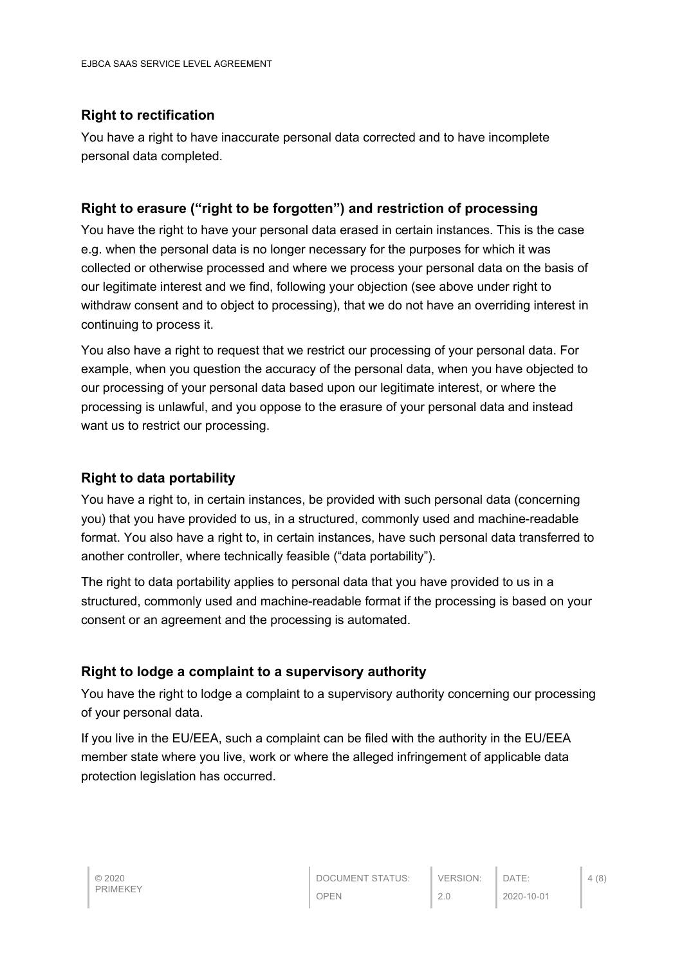# **Right to rectification**

You have a right to have inaccurate personal data corrected and to have incomplete personal data completed.

# **Right to erasure ("right to be forgotten") and restriction of processing**

You have the right to have your personal data erased in certain instances. This is the case e.g. when the personal data is no longer necessary for the purposes for which it was collected or otherwise processed and where we process your personal data on the basis of our legitimate interest and we find, following your objection (see above under right to withdraw consent and to object to processing), that we do not have an overriding interest in continuing to process it.

You also have a right to request that we restrict our processing of your personal data. For example, when you question the accuracy of the personal data, when you have objected to our processing of your personal data based upon our legitimate interest, or where the processing is unlawful, and you oppose to the erasure of your personal data and instead want us to restrict our processing.

## **Right to data portability**

You have a right to, in certain instances, be provided with such personal data (concerning you) that you have provided to us, in a structured, commonly used and machine-readable format. You also have a right to, in certain instances, have such personal data transferred to another controller, where technically feasible ("data portability").

The right to data portability applies to personal data that you have provided to us in a structured, commonly used and machine-readable format if the processing is based on your consent or an agreement and the processing is automated.

#### **Right to lodge a complaint to a supervisory authority**

You have the right to lodge a complaint to a supervisory authority concerning our processing of your personal data.

If you live in the EU/EEA, such a complaint can be filed with the authority in the EU/EEA member state where you live, work or where the alleged infringement of applicable data protection legislation has occurred.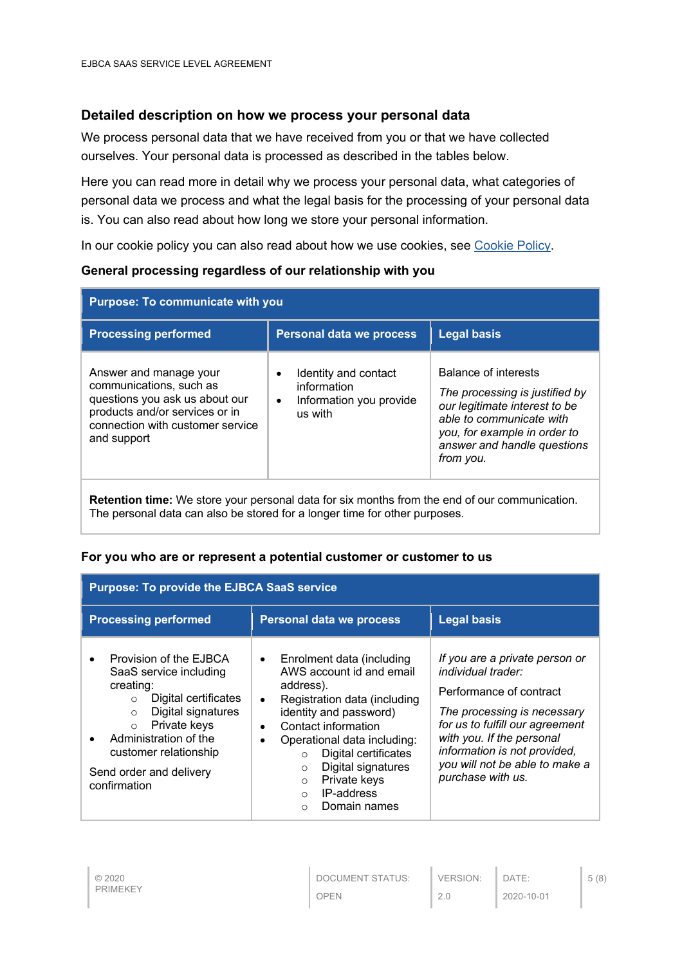## **Detailed description on how we process your personal data**

We process personal data that we have received from you or that we have collected ourselves. Your personal data is processed as described in the tables below.

Here you can read more in detail why we process your personal data, what categories of personal data we process and what the legal basis for the processing of your personal data is. You can also read about how long we store your personal information.

In our cookie policy you can also read about how we use cookies, see Cookie Policy.

**General processing regardless of our relationship with you**

|                                                                                                                                                                                                    |                                                                           | <b>Purpose: To communicate with you</b>                                                                                                                                                                |  |  |  |
|----------------------------------------------------------------------------------------------------------------------------------------------------------------------------------------------------|---------------------------------------------------------------------------|--------------------------------------------------------------------------------------------------------------------------------------------------------------------------------------------------------|--|--|--|
| <b>Processing performed</b>                                                                                                                                                                        | <b>Personal data we process</b>                                           | <b>Legal basis</b>                                                                                                                                                                                     |  |  |  |
| Answer and manage your<br>$\bullet$<br>communications, such as<br>questions you ask us about our<br>$\bullet$<br>products and/or services or in<br>connection with customer service<br>and support | Identity and contact<br>information<br>Information you provide<br>us with | <b>Balance of interests</b><br>The processing is justified by<br>our legitimate interest to be<br>able to communicate with<br>you, for example in order to<br>answer and handle questions<br>from you. |  |  |  |

**Retention time:** We store your personal data for six months from the end of our communication. The personal data can also be stored for a longer time for other purposes.

#### **For you who are or represent a potential customer or customer to us**

| <b>Purpose: To provide the EJBCA SaaS service</b>                                                                                                                                                                                                                                   |                                                                                                                                                                                                                                                                                                                                                                                                |                                                                                                                                                                                                                                                                       |  |
|-------------------------------------------------------------------------------------------------------------------------------------------------------------------------------------------------------------------------------------------------------------------------------------|------------------------------------------------------------------------------------------------------------------------------------------------------------------------------------------------------------------------------------------------------------------------------------------------------------------------------------------------------------------------------------------------|-----------------------------------------------------------------------------------------------------------------------------------------------------------------------------------------------------------------------------------------------------------------------|--|
| <b>Processing performed</b>                                                                                                                                                                                                                                                         | <b>Personal data we process</b>                                                                                                                                                                                                                                                                                                                                                                | <b>Legal basis</b>                                                                                                                                                                                                                                                    |  |
| Provision of the EJBCA<br>$\bullet$<br>SaaS service including<br>creating:<br>Digital certificates<br>$\circ$<br>Digital signatures<br>$\circ$<br>Private keys<br>$\circ$<br>Administration of the<br>$\bullet$<br>customer relationship<br>Send order and delivery<br>confirmation | Enrolment data (including<br>$\bullet$<br>AWS account id and email<br>address).<br>Registration data (including<br>$\bullet$<br>identity and password)<br>Contact information<br>$\bullet$<br>Operational data including:<br>$\bullet$<br>Digital certificates<br>$\circ$<br>Digital signatures<br>$\Omega$<br>Private keys<br>$\circ$<br>IP-address<br>$\Omega$<br>Domain names<br>$\bigcirc$ | If you are a private person or<br>individual trader:<br>Performance of contract<br>The processing is necessary<br>for us to fulfill our agreement<br>with you. If the personal<br>information is not provided,<br>you will not be able to make a<br>purchase with us. |  |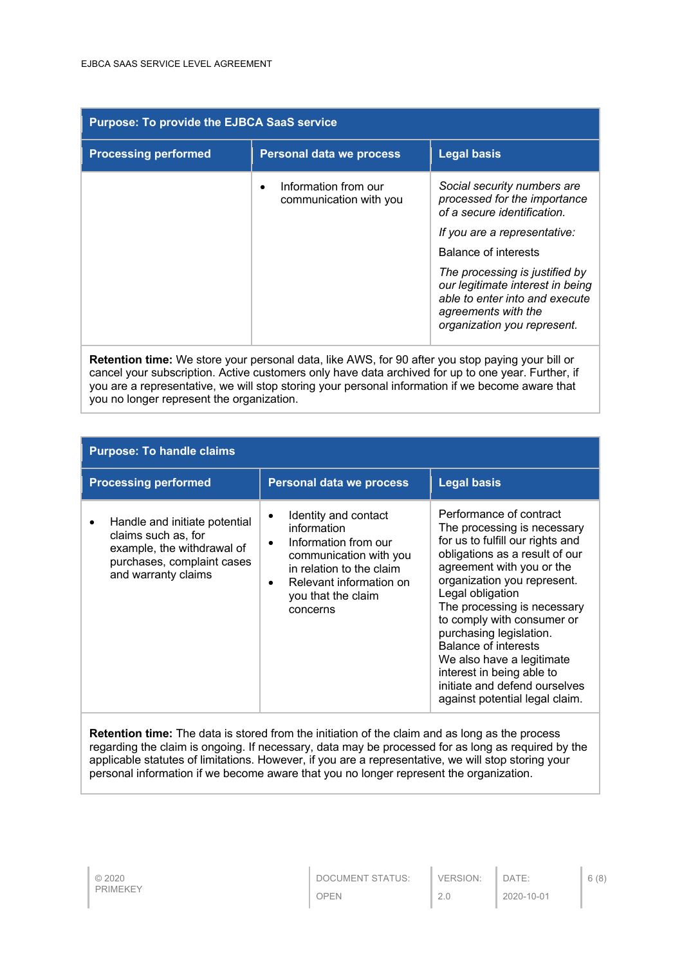| <b>Purpose: To provide the EJBCA SaaS service</b>                                                       |                                                |                                                                                                                                                            |
|---------------------------------------------------------------------------------------------------------|------------------------------------------------|------------------------------------------------------------------------------------------------------------------------------------------------------------|
| <b>Processing performed</b>                                                                             | <b>Personal data we process</b>                | <b>Legal basis</b>                                                                                                                                         |
|                                                                                                         | Information from our<br>communication with you | Social security numbers are<br>processed for the importance<br>of a secure identification.                                                                 |
|                                                                                                         |                                                | If you are a representative:                                                                                                                               |
|                                                                                                         |                                                | Balance of interests                                                                                                                                       |
|                                                                                                         |                                                | The processing is justified by<br>our legitimate interest in being<br>able to enter into and execute<br>agreements with the<br>organization you represent. |
| <b>Retention time:</b> We store your personal data, like AWS, for 90 after you stop paying your bill or |                                                |                                                                                                                                                            |

cancel your subscription. Active customers only have data archived for up to one year. Further, if you are a representative, we will stop storing your personal information if we become aware that you no longer represent the organization.

| <b>Purpose: To handle claims</b>                                                                                                        |                                                                                                                                                                                                                       |                                                                                                                                                                                                                                                                                                                                                                                                                                                           |
|-----------------------------------------------------------------------------------------------------------------------------------------|-----------------------------------------------------------------------------------------------------------------------------------------------------------------------------------------------------------------------|-----------------------------------------------------------------------------------------------------------------------------------------------------------------------------------------------------------------------------------------------------------------------------------------------------------------------------------------------------------------------------------------------------------------------------------------------------------|
| <b>Processing performed</b>                                                                                                             | <b>Personal data we process</b>                                                                                                                                                                                       | <b>Legal basis</b>                                                                                                                                                                                                                                                                                                                                                                                                                                        |
| Handle and initiate potential<br>claims such as, for<br>example, the withdrawal of<br>purchases, complaint cases<br>and warranty claims | Identity and contact<br>$\bullet$<br>information<br>Information from our<br>$\bullet$<br>communication with you<br>in relation to the claim<br>Relevant information on<br>$\bullet$<br>you that the claim<br>concerns | Performance of contract<br>The processing is necessary<br>for us to fulfill our rights and<br>obligations as a result of our<br>agreement with you or the<br>organization you represent.<br>Legal obligation<br>The processing is necessary<br>to comply with consumer or<br>purchasing legislation.<br>Balance of interests<br>We also have a legitimate<br>interest in being able to<br>initiate and defend ourselves<br>against potential legal claim. |
|                                                                                                                                         | <b>Potention time:</b> The data is stored from the initiation of the claim and as long as the process                                                                                                                 |                                                                                                                                                                                                                                                                                                                                                                                                                                                           |

**Retention time:** The data is stored from the initiation of the claim and as long as the process regarding the claim is ongoing. If necessary, data may be processed for as long as required by the applicable statutes of limitations. However, if you are a representative, we will stop storing your personal information if we become aware that you no longer represent the organization.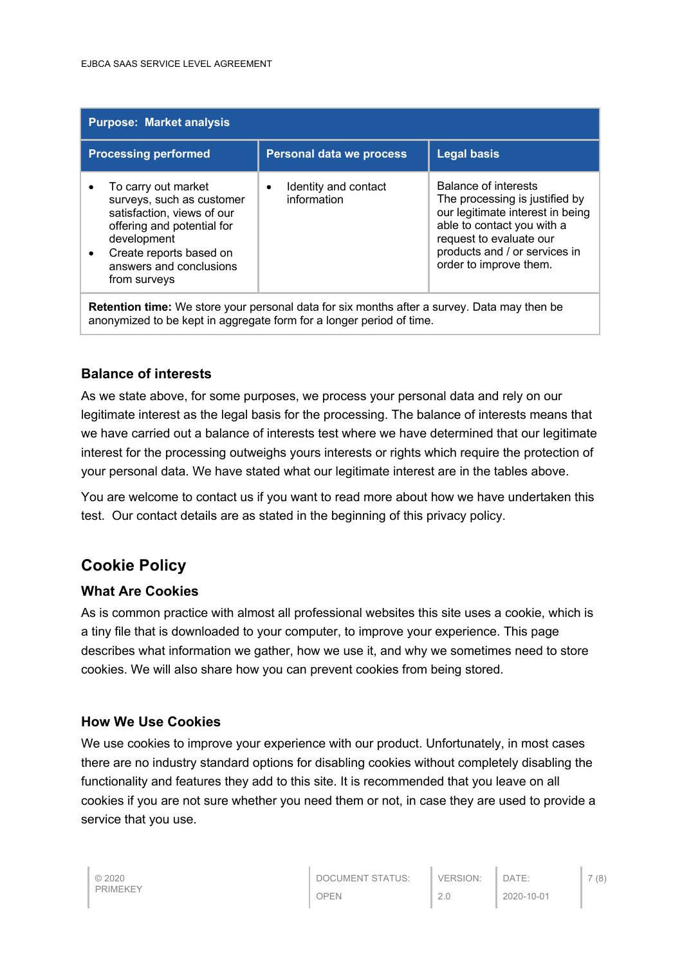| <b>Purpose: Market analysis</b>                                                                                                                                                                                |                                                  |                                                                                                                                                                                                                       |  |
|----------------------------------------------------------------------------------------------------------------------------------------------------------------------------------------------------------------|--------------------------------------------------|-----------------------------------------------------------------------------------------------------------------------------------------------------------------------------------------------------------------------|--|
| <b>Processing performed</b>                                                                                                                                                                                    | <b>Personal data we process</b>                  | <b>Legal basis</b>                                                                                                                                                                                                    |  |
| To carry out market<br>surveys, such as customer<br>satisfaction, views of our<br>offering and potential for<br>development<br>Create reports based on<br>$\bullet$<br>answers and conclusions<br>from surveys | Identity and contact<br>$\bullet$<br>information | <b>Balance of interests</b><br>The processing is justified by<br>our legitimate interest in being<br>able to contact you with a<br>request to evaluate our<br>products and / or services in<br>order to improve them. |  |
| <b>Retention time:</b> We store your personal data for six months after a survey. Data may then be<br>anonymized to be kept in aggregate form for a longer period of time.                                     |                                                  |                                                                                                                                                                                                                       |  |

#### **Balance of interests**

As we state above, for some purposes, we process your personal data and rely on our legitimate interest as the legal basis for the processing. The balance of interests means that we have carried out a balance of interests test where we have determined that our legitimate interest for the processing outweighs yours interests or rights which require the protection of your personal data. We have stated what our legitimate interest are in the tables above.

You are welcome to contact us if you want to read more about how we have undertaken this test. Our contact details are as stated in the beginning of this privacy policy.

# **Cookie Policy**

#### **What Are Cookies**

As is common practice with almost all professional websites this site uses a cookie, which is a tiny file that is downloaded to your computer, to improve your experience. This page describes what information we gather, how we use it, and why we sometimes need to store cookies. We will also share how you can prevent cookies from being stored.

# **How We Use Cookies**

We use cookies to improve your experience with our product. Unfortunately, in most cases there are no industry standard options for disabling cookies without completely disabling the functionality and features they add to this site. It is recommended that you leave on all cookies if you are not sure whether you need them or not, in case they are used to provide a service that you use.